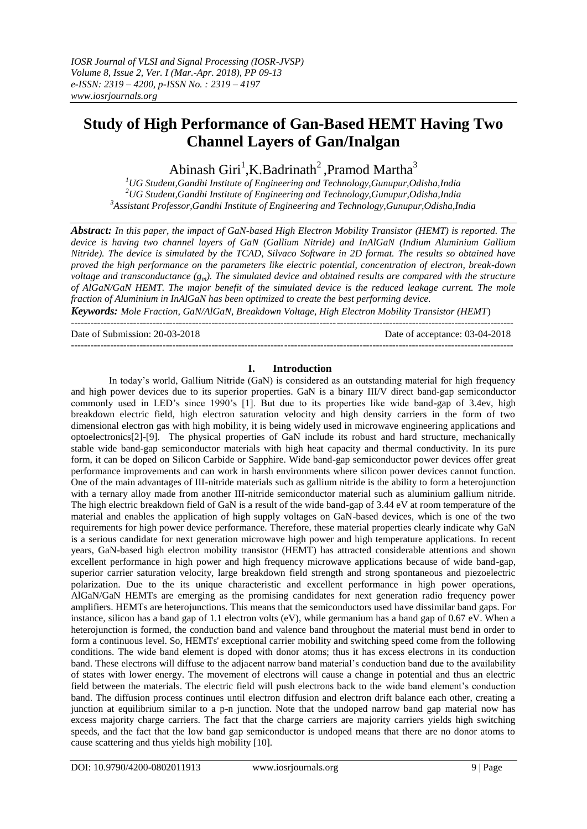# **Study of High Performance of Gan-Based HEMT Having Two Channel Layers of Gan/Inalgan**

Abinash Giri<sup>1</sup>, K. Badrinath<sup>2</sup>, Pramod Martha<sup>3</sup>

*<sup>1</sup>UG Student,Gandhi Institute of Engineering and Technology,Gunupur,Odisha,India <sup>2</sup>UG Student,Gandhi Institute of Engineering and Technology,Gunupur,Odisha,India <sup>3</sup>Assistant Professor,Gandhi Institute of Engineering and Technology,Gunupur,Odisha,India*

*Abstract: In this paper, the impact of GaN-based High Electron Mobility Transistor (HEMT) is reported. The device is having two channel layers of GaN (Gallium Nitride) and InAlGaN (Indium Aluminium Gallium Nitride). The device is simulated by the TCAD, Silvaco Software in 2D format. The results so obtained have proved the high performance on the parameters like electric potential, concentration of electron, break-down voltage and transconductance*  $(g_m)$ *. The simulated device and obtained results are compared with the structure of AlGaN/GaN HEMT. The major benefit of the simulated device is the reduced leakage current. The mole fraction of Aluminium in InAlGaN has been optimized to create the best performing device.*

*Keywords: Mole Fraction, GaN/AlGaN, Breakdown Voltage, High Electron Mobility Transistor (HEMT*) ---------------------------------------------------------------------------------------------------------------------------------------

Date of Submission: 20-03-2018 Date of acceptance: 03-04-2018

---------------------------------------------------------------------------------------------------------------------------------------

**I. Introduction** In today's world, Gallium Nitride (GaN) is considered as an outstanding material for high frequency and high power devices due to its superior properties. GaN is a binary III/V direct band-gap semiconductor commonly used in LED's since 1990's [1]. But due to its properties like wide band-gap of 3.4ev, high breakdown electric field, high electron saturation velocity and high density carriers in the form of two dimensional electron gas with high mobility, it is being widely used in microwave engineering applications and optoelectronics[2]-[9]. The physical properties of GaN include its robust and hard structure, mechanically stable wide band-gap semiconductor materials with high heat capacity and thermal conductivity. In its pure form, it can be doped on Silicon Carbide or Sapphire. Wide band-gap semiconductor power devices offer great performance improvements and can work in harsh environments where silicon power devices cannot function. One of the main advantages of III-nitride materials such as gallium nitride is the ability to form a heterojunction with a ternary alloy made from another III-nitride semiconductor material such as aluminium gallium nitride. The high electric breakdown field of GaN is a result of the wide band-gap of 3.44 eV at room temperature of the material and enables the application of high supply voltages on GaN-based devices, which is one of the two requirements for high power device performance. Therefore, these material properties clearly indicate why GaN is a serious candidate for next generation microwave high power and high temperature applications. In recent years, GaN-based high electron mobility transistor (HEMT) has attracted considerable attentions and shown excellent performance in high power and high frequency microwave applications because of wide band-gap, superior carrier saturation velocity, large breakdown field strength and strong spontaneous and piezoelectric polarization. Due to the its unique characteristic and excellent performance in high power operations, AlGaN/GaN HEMTs are emerging as the promising candidates for next generation radio frequency power amplifiers. HEMTs are heterojunctions. This means that the semiconductors used have dissimilar band gaps. For instance, silicon has a band gap of 1.1 electron volts (eV), while germanium has a band gap of 0.67 eV. When a heterojunction is formed, the conduction band and valence band throughout the material must bend in order to form a continuous level. So, HEMTs' exceptional carrier mobility and switching speed come from the following conditions. The wide band element is doped with donor atoms; thus it has excess electrons in its conduction band. These electrons will diffuse to the adjacent narrow band material's conduction band due to the availability of states with lower energy. The movement of electrons will cause a change in potential and thus an electric field between the materials. The electric field will push electrons back to the wide band element's conduction band. The diffusion process continues until electron diffusion and electron drift balance each other, creating a junction at equilibrium similar to a p-n junction. Note that the undoped narrow band gap material now has excess majority charge carriers. The fact that the charge carriers are majority carriers yields high switching speeds, and the fact that the low band gap semiconductor is undoped means that there are no donor atoms to cause scattering and thus yields high mobility [10].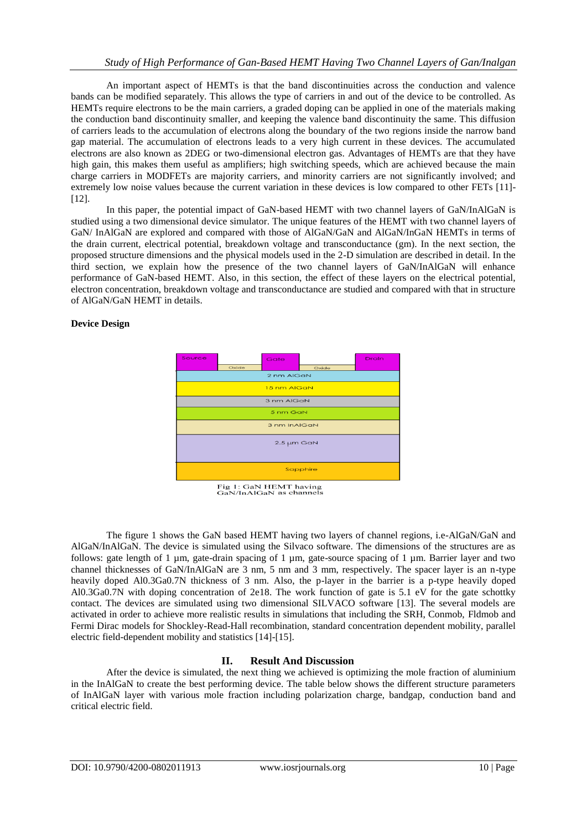An important aspect of HEMTs is that the band discontinuities across the conduction and valence bands can be modified separately. This allows the type of carriers in and out of the device to be controlled. As HEMTs require electrons to be the main carriers, a graded doping can be applied in one of the materials making the conduction band discontinuity smaller, and keeping the valence band discontinuity the same. This diffusion of carriers leads to the accumulation of electrons along the boundary of the two regions inside the narrow band gap material. The accumulation of electrons leads to a very high current in these devices. The accumulated electrons are also known as 2DEG or two-dimensional electron gas. Advantages of HEMTs are that they have high gain, this makes them useful as amplifiers; high switching speeds, which are achieved because the main charge carriers in MODFETs are majority carriers, and minority carriers are not significantly involved; and extremely low noise values because the current variation in these devices is low compared to other FETs [11]- [12].

In this paper, the potential impact of GaN-based HEMT with two channel layers of GaN/InAlGaN is studied using a two dimensional device simulator. The unique features of the HEMT with two channel layers of GaN/ InAlGaN are explored and compared with those of AlGaN/GaN and AlGaN/InGaN HEMTs in terms of the drain current, electrical potential, breakdown voltage and transconductance (gm). In the next section, the proposed structure dimensions and the physical models used in the 2-D simulation are described in detail. In the third section, we explain how the presence of the two channel layers of GaN/InAlGaN will enhance performance of GaN-based HEMT. Also, in this section, the effect of these layers on the electrical potential, electron concentration, breakdown voltage and transconductance are studied and compared with that in structure of AlGaN/GaN HEMT in details.

## **Device Design**



Fig 1: GaN HEMT having<br>GaN/InAlGaN as channels

The figure 1 shows the GaN based HEMT having two layers of channel regions, i.e-AlGaN/GaN and AlGaN/InAlGaN. The device is simulated using the Silvaco software. The dimensions of the structures are as follows: gate length of 1 µm, gate-drain spacing of 1 µm, gate-source spacing of 1 µm. Barrier layer and two channel thicknesses of GaN/InAlGaN are 3 nm, 5 nm and 3 mm, respectively. The spacer layer is an n-type heavily doped Al0.3Ga0.7N thickness of 3 nm. Also, the p-layer in the barrier is a p-type heavily doped Al0.3Ga0.7N with doping concentration of 2e18. The work function of gate is 5.1 eV for the gate schottky contact. The devices are simulated using two dimensional SILVACO software [13]. The several models are activated in order to achieve more realistic results in simulations that including the SRH, Conmob, Fldmob and Fermi Dirac models for Shockley-Read-Hall recombination, standard concentration dependent mobility, parallel electric field-dependent mobility and statistics [14]-[15].

# **II. Result And Discussion**

After the device is simulated, the next thing we achieved is optimizing the mole fraction of aluminium in the InAlGaN to create the best performing device. The table below shows the different structure parameters of InAlGaN layer with various mole fraction including polarization charge, bandgap, conduction band and critical electric field.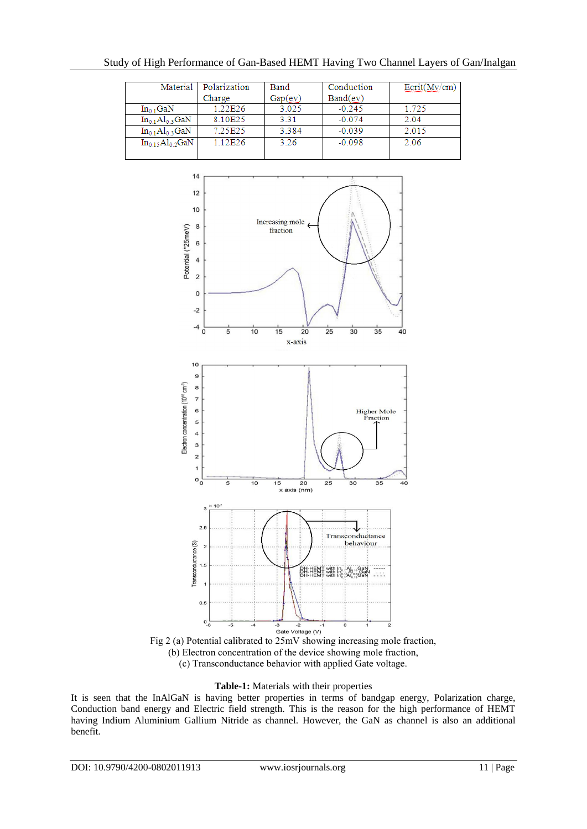|                         | Material   Polarization | Band    | Conduction | $\text{Ecrit}(\text{My/cm})$ |
|-------------------------|-------------------------|---------|------------|------------------------------|
|                         | Charge                  | Gap(ev) | Band(ev)   |                              |
| $In_{0,1}$ GaN          | 1.22E26                 | 3.025   | $-0.245$   | 1.725                        |
| $In_01Al03 GaN$         | 8.10E25                 | 3.31    | $-0.074$   | 2.04                         |
| $In_01Al03GaN$          | 7.25E25                 | 3.384   | $-0.039$   | 2.015                        |
| $In_{0.15}Al_{0.2}$ GaN | 1.12E26                 | 3.26    | $-0.098$   | 2.06                         |
|                         |                         |         |            |                              |



Fig 2 (a) Potential calibrated to 25mV showing increasing mole fraction, (b) Electron concentration of the device showing mole fraction, (c) Transconductance behavior with applied Gate voltage.

# **Table-1:** Materials with their properties

It is seen that the InAlGaN is having better properties in terms of bandgap energy, Polarization charge, Conduction band energy and Electric field strength. This is the reason for the high performance of HEMT having Indium Aluminium Gallium Nitride as channel. However, the GaN as channel is also an additional benefit.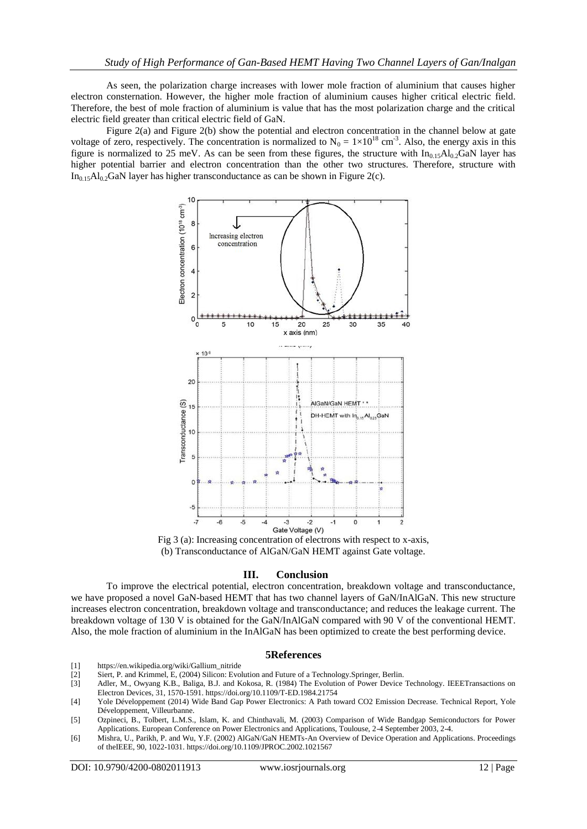As seen, the polarization charge increases with lower mole fraction of aluminium that causes higher electron consternation. However, the higher mole fraction of aluminium causes higher critical electric field. Therefore, the best of mole fraction of aluminium is value that has the most polarization charge and the critical electric field greater than critical electric field of GaN.

Figure 2(a) and Figure 2(b) show the potential and electron concentration in the channel below at gate voltage of zero, respectively. The concentration is normalized to  $N_0 = 1 \times 10^{18}$  cm<sup>-3</sup>. Also, the energy axis in this figure is normalized to 25 meV. As can be seen from these figures, the structure with  $In<sub>0.15</sub>Al<sub>0.2</sub>GaN$  layer has higher potential barrier and electron concentration than the other two structures. Therefore, structure with  $In<sub>0.15</sub>Al<sub>0.2</sub>GaN layer has higher transconductance as can be shown in Figure 2(c).$ 



Fig 3 (a): Increasing concentration of electrons with respect to x-axis, (b) Transconductance of AlGaN/GaN HEMT against Gate voltage.

### **III. Conclusion**

To improve the electrical potential, electron concentration, breakdown voltage and transconductance, we have proposed a novel GaN-based HEMT that has two channel layers of GaN/InAlGaN. This new structure increases electron concentration, breakdown voltage and transconductance; and reduces the leakage current. The breakdown voltage of 130 V is obtained for the GaN/InAlGaN compared with 90 V of the conventional HEMT. Also, the mole fraction of aluminium in the InAlGaN has been optimized to create the best performing device.

### **5References**

- [1] https://en.wikipedia.org/wiki/Gallium\_nitride
- Siert, P. and Krimmel, E, (2004) Silicon: Evolution and Future of a Technology.Springer, Berlin.
- [3] Adler, M., Owyang K.B., Baliga, B.J. and Kokosa, R. (1984) The Evolution of Power Device Technology. IEEETransactions on Electron Devices, 31, 1570-1591. https://doi.org/10.1109/T-ED.1984.21754
- [4] Yole Développement (2014) Wide Band Gap Power Electronics: A Path toward CO2 Emission Decrease. Technical Report, Yole Développement, Villeurbanne.
- [5] Ozpineci, B., Tolbert, L.M.S., Islam, K. and Chinthavali, M. (2003) Comparison of Wide Bandgap Semiconductors for Power Applications. European Conference on Power Electronics and Applications, Toulouse, 2-4 September 2003, 2-4.
- [6] Mishra, U., Parikh, P. and Wu, Y.F. (2002) AlGaN/GaN HEMTs-An Overview of Device Operation and Applications. Proceedings of theIEEE, 90, 1022-1031. https://doi.org/10.1109/JPROC.2002.1021567